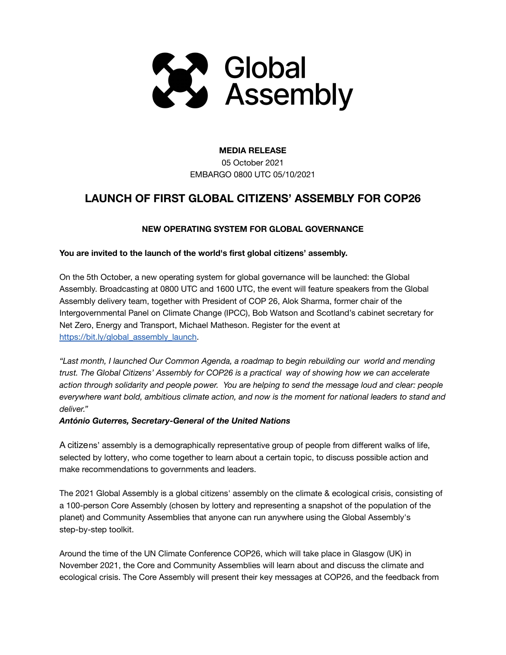

# **MEDIA RELEASE**

05 October 2021 EMBARGO 0800 UTC 05/10/2021

# **LAUNCH OF FIRST GLOBAL CITIZENS' ASSEMBLY FOR COP26**

# **NEW OPERATING SYSTEM FOR GLOBAL GOVERNANCE**

### **You are invited to the launch of the world's first global citizens' assembly.**

On the 5th October, a new operating system for global governance will be launched: the Global Assembly. Broadcasting at 0800 UTC and 1600 UTC, the event will feature speakers from the Global Assembly delivery team, together with President of COP 26, Alok Sharma, former chair of the Intergovernmental Panel on Climate Change (IPCC), Bob Watson and Scotland's cabinet secretary for Net Zero, Energy and Transport, Michael Matheson. Register for the event at [https://bit.ly/global\\_assembly\\_launch](https://bit.ly/global_assembly_launch)

*"Last month, I launched Our Common Agenda, a roadmap to begin rebuilding our world and mending trust. The Global Citizens' Assembly for COP26 is a practical way of showing how we can accelerate action through solidarity and people power. You are helping to send the message loud and clear: people everywhere want bold, ambitious climate action, and now is the moment for national leaders to stand and deliver."*

### *António Guterres, [Secretary-General](https://en.wikipedia.org/wiki/Secretary-General_of_the_United_Nations) of the United Nations*

A citizens' assembly is a demographically representative group of people from different walks of life, selected by lottery, who come together to learn about a certain topic, to discuss possible action and make recommendations to governments and leaders.

The 2021 Global Assembly is a global citizens' assembly on the climate & ecological crisis, consisting of a 100-person Core Assembly (chosen by lottery and representing a snapshot of the population of the planet) and Community Assemblies that anyone can run anywhere using the Global Assembly's step-by-step toolkit.

Around the time of the UN Climate Conference COP26, which will take place in Glasgow (UK) in November 2021, the Core and Community Assemblies will learn about and discuss the climate and ecological crisis. The Core Assembly will present their key messages at COP26, and the feedback from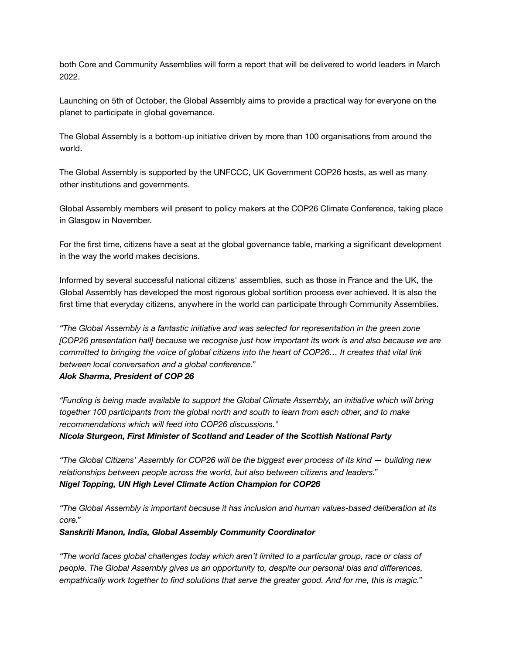both Core and Community Assemblies will form a report that will be delivered to world leaders in March 2022.

Launching on 5th of October, the Global Assembly aims to provide a practical way for everyone on the planet to participate in global governance.

The Global Assembly is a bottom-up initiative driven by more than 100 organisations from around the world.

The Global Assembly is supported by the UNFCCC, UK Government COP26 hosts, as well as many other institutions and governments.

Global Assembly members will present to policy makers at the COP26 Climate Conference, taking place in Glasgow in November.

For the first time, citizens have a seat at the global governance table, marking a significant development in the way the world makes decisions.

Informed by several successful national citizens' assemblies, such as those in France and the UK, the Global Assembly has developed the most rigorous global sortition process ever achieved. It is also the first time that everyday citizens, anywhere in the world can participate through Community Assemblies.

*"The Global Assembly is a fantastic initiative and was selected for representation in the green zone [COP26 presentation hall] because we recognise just how important its work is and also because we are* committed to bringing the voice of global citizens into the heart of COP26... It creates that vital link *between local conversation and a global conference."*

#### *Alok Sharma, President of COP 26*

*"Funding is being made available to support the Global Climate Assembly, an initiative which will bring together 100 participants from the global north and south to learn from each other, and to make recommendations which will feed into COP26 discussions*."

*Nicola Sturgeon, First Minister of Scotland and Leader of the Scottish National Party*

"The Global Citizens' Assembly for COP26 will be the biggest ever process of its kind — building new *relationships between people across the world, but also between citizens and leaders." Nigel Topping, UN High Level Climate Action Champion for COP26*

*"The Global Assembly is important because it has inclusion and human values-based deliberation at its core."*

#### *Sanskriti Manon, India, Global Assembly Community Coordinator*

*"The world faces global challenges today which aren't limited to a particular group, race or class of people. The Global Assembly gives us an opportunity to, despite our personal bias and differences, empathically work together to find solutions that serve the greater good. And for me, this is magic."*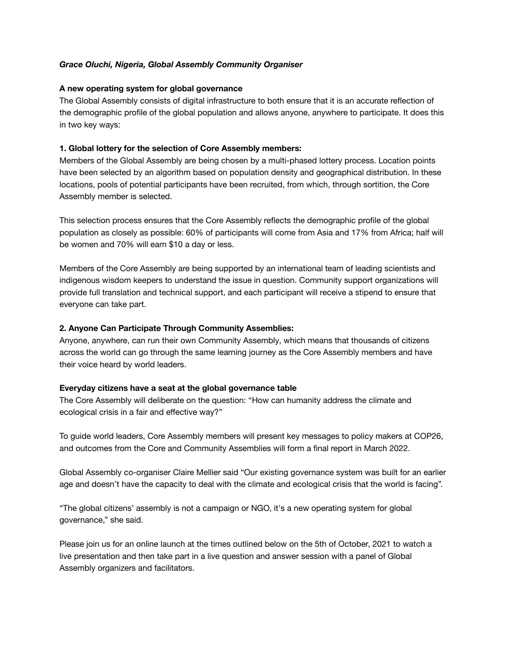#### *Grace Oluchi, Nigeria, Global Assembly Community Organiser*

#### **A new operating system for global governance**

The Global Assembly consists of digital infrastructure to both ensure that it is an accurate reflection of the demographic profile of the global population and allows anyone, anywhere to participate. It does this in two key ways:

#### **1. Global lottery for the selection of Core Assembly members:**

Members of the Global Assembly are being chosen by a multi-phased lottery process. Location points have been selected by an algorithm based on population density and geographical distribution. In these locations, pools of potential participants have been recruited, from which, through sortition, the Core Assembly member is selected.

This selection process ensures that the Core Assembly reflects the demographic profile of the global population as closely as possible: 60% of participants will come from Asia and 17% from Africa; half will be women and 70% will earn \$10 a day or less.

Members of the Core Assembly are being supported by an international team of leading scientists and indigenous wisdom keepers to understand the issue in question. Community support organizations will provide full translation and technical support, and each participant will receive a stipend to ensure that everyone can take part.

#### **2. Anyone Can Participate Through Community Assemblies:**

Anyone, anywhere, can run their own Community Assembly, which means that thousands of citizens across the world can go through the same learning journey as the Core Assembly members and have their voice heard by world leaders.

#### **Everyday citizens have a seat at the global governance table**

The Core Assembly will deliberate on the question: "How can humanity address the climate and ecological crisis in a fair and effective way?"

To guide world leaders, Core Assembly members will present key messages to policy makers at COP26, and outcomes from the Core and Community Assemblies will form a final report in March 2022.

Global Assembly co-organiser Claire Mellier said "Our existing governance system was built for an earlier age and doesn't have the capacity to deal with the climate and ecological crisis that the world is facing".

"The global citizens' assembly is not a campaign or NGO, it's a new operating system for global governance," she said.

Please join us for an online launch at the times outlined below on the 5th of October, 2021 to watch a live presentation and then take part in a live question and answer session with a panel of Global Assembly organizers and facilitators.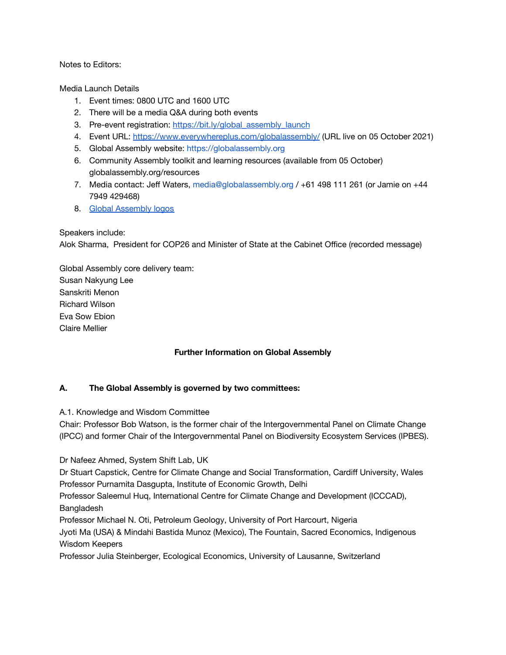Notes to Editors:

Media Launch Details

- 1. Event times: 0800 UTC and 1600 UTC
- 2. There will be a media Q&A during both events
- 3. Pre-event registration: [https://bit.ly/global\\_assembly\\_launch](https://bit.ly/global_assembly_launch)
- 4. Event URL: <https://www.everywhereplus.com/globalassembly/> (URL live on 05 October 2021)
- 5. Global Assembly website: <https://globalassembly.org>
- 6. Community Assembly toolkit and learning resources (available from 05 October) globalassembly.org/resources
- 7. Media contact: Jeff Waters, [media@globalassembly.org](mailto:media@globalassembly.org) / +61 498 111 261 (or Jamie on +44 7949 429468)
- 8. Global [Assembly](https://drive.google.com/drive/folders/1QZKKYgDci0LDhFj77TI9ak-inwaYzAY_?usp=sharing) logos

# Speakers include:

Alok Sharma, President for COP26 and Minister of State at the Cabinet Office (recorded message)

Global Assembly core delivery team: Susan Nakyung Lee Sanskriti Menon Richard Wilson Eva Sow Ebion Claire Mellier

# **Further Information on Global Assembly**

# **A. The Global Assembly is governed by two committees:**

A.1. Knowledge and Wisdom Committee

Chair: Professor Bob Watson, is the former chair of the Intergovernmental Panel on Climate Change (IPCC) and former Chair of the Intergovernmental Panel on Biodiversity Ecosystem Services (IPBES).

Dr Nafeez Ahmed, System Shift Lab, UK

Dr Stuart Capstick, Centre for Climate Change and Social Transformation, Cardiff University, Wales Professor Purnamita Dasgupta, Institute of Economic Growth, Delhi

Professor Saleemul Huq, International Centre for Climate Change and Development (ICCCAD), Bangladesh

Professor Michael N. Oti, Petroleum Geology, University of Port Harcourt, Nigeria

Jyoti Ma (USA) & Mindahi Bastida Munoz (Mexico), The Fountain, Sacred Economics, Indigenous Wisdom Keepers

Professor Julia Steinberger, Ecological Economics, University of Lausanne, Switzerland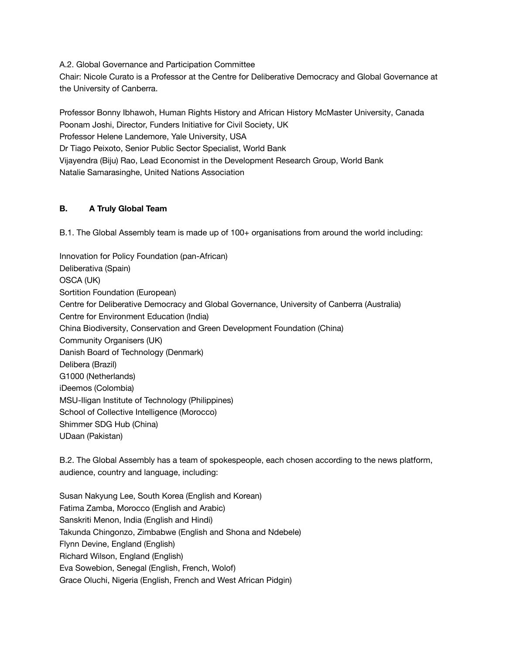A.2. Global Governance and Participation Committee Chair: Nicole Curato is a Professor at the Centre for Deliberative Democracy and Global Governance at the University of Canberra.

Professor Bonny Ibhawoh, Human Rights History and African History McMaster University, Canada Poonam Joshi, Director, Funders Initiative for Civil Society, UK Professor Helene Landemore, Yale University, USA Dr Tiago Peixoto, Senior Public Sector Specialist, World Bank Vijayendra (Biju) Rao, Lead Economist in the Development Research Group, World Bank Natalie Samarasinghe, United Nations Association

# **B. A Truly Global Team**

B.1. The Global Assembly team is made up of 100+ organisations from around the world including:

Innovation for Policy Foundation (pan-African) Deliberativa (Spain) OSCA (UK) Sortition Foundation (European) Centre for Deliberative Democracy and Global Governance, University of Canberra (Australia) Centre for Environment Education (India) China Biodiversity, Conservation and Green Development Foundation (China) Community Organisers (UK) Danish Board of Technology (Denmark) Delibera (Brazil) G1000 (Netherlands) iDeemos (Colombia) MSU-Iligan Institute of Technology (Philippines) School of Collective Intelligence (Morocco) Shimmer SDG Hub (China) UDaan (Pakistan)

B.2. The Global Assembly has a team of spokespeople, each chosen according to the news platform, audience, country and language, including:

Susan Nakyung Lee, South Korea (English and Korean) Fatima Zamba, Morocco (English and Arabic) Sanskriti Menon, India (English and Hindi) Takunda Chingonzo, Zimbabwe (English and Shona and Ndebele) Flynn Devine, England (English) Richard Wilson, England (English) Eva Sowebion, Senegal (English, French, Wolof) Grace Oluchi, Nigeria (English, French and West African Pidgin)